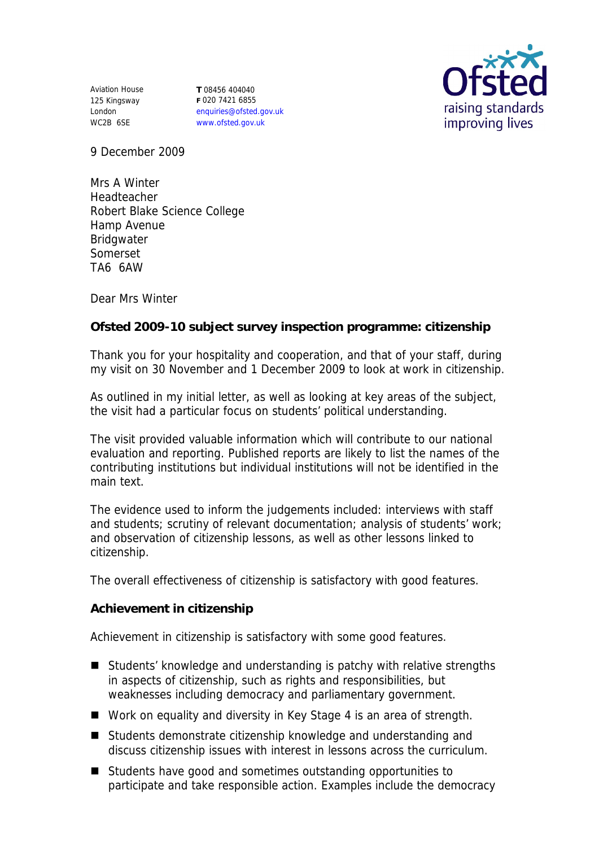Aviation House 125 Kingsway London WC2B 6SE

**T** 08456 404040 **F** 020 7421 6855 enquiries@ofsted.gov.uk www.ofsted.gov.uk



9 December 2009

Mrs A Winter Headteacher Robert Blake Science College Hamp Avenue Bridgwater Somerset TA6 6AW

Dear Mrs Winter

**Ofsted 2009-10 subject survey inspection programme: citizenship**

Thank you for your hospitality and cooperation, and that of your staff, during my visit on 30 November and 1 December 2009 to look at work in citizenship.

As outlined in my initial letter, as well as looking at key areas of the subject, the visit had a particular focus on students' political understanding.

The visit provided valuable information which will contribute to our national evaluation and reporting. Published reports are likely to list the names of the contributing institutions but individual institutions will not be identified in the main text.

The evidence used to inform the judgements included: interviews with staff and students; scrutiny of relevant documentation; analysis of students' work; and observation of citizenship lessons, as well as other lessons linked to citizenship.

The overall effectiveness of citizenship is satisfactory with good features.

**Achievement in citizenship**

Achievement in citizenship is satisfactory with some good features.

- Students' knowledge and understanding is patchy with relative strengths in aspects of citizenship, such as rights and responsibilities, but weaknesses including democracy and parliamentary government.
- Work on equality and diversity in Key Stage 4 is an area of strength.
- Students demonstrate citizenship knowledge and understanding and discuss citizenship issues with interest in lessons across the curriculum.
- Students have good and sometimes outstanding opportunities to participate and take responsible action. Examples include the democracy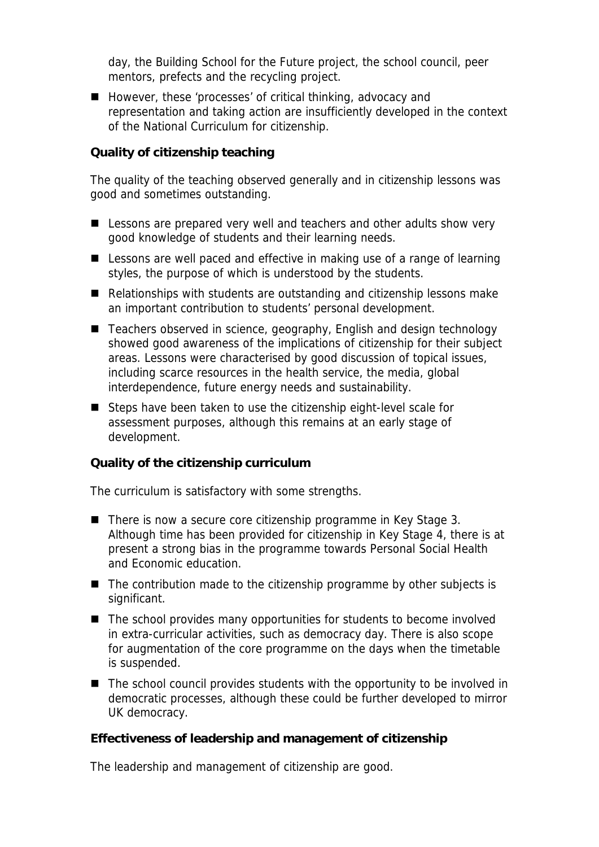day, the Building School for the Future project, the school council, peer mentors, prefects and the recycling project.

■ However, these 'processes' of critical thinking, advocacy and representation and taking action are insufficiently developed in the context of the National Curriculum for citizenship.

**Quality of citizenship teaching** 

The quality of the teaching observed generally and in citizenship lessons was good and sometimes outstanding.

- Lessons are prepared very well and teachers and other adults show very good knowledge of students and their learning needs.
- Lessons are well paced and effective in making use of a range of learning styles, the purpose of which is understood by the students.
- Relationships with students are outstanding and citizenship lessons make an important contribution to students' personal development.
- Teachers observed in science, geography, English and design technology showed good awareness of the implications of citizenship for their subject areas. Lessons were characterised by good discussion of topical issues, including scarce resources in the health service, the media, global interdependence, future energy needs and sustainability.
- Steps have been taken to use the citizenship eight-level scale for assessment purposes, although this remains at an early stage of development.

**Quality of the citizenship curriculum** 

The curriculum is satisfactory with some strengths.

- There is now a secure core citizenship programme in Key Stage 3. Although time has been provided for citizenship in Key Stage 4, there is at present a strong bias in the programme towards Personal Social Health and Economic education.
- $\blacksquare$  The contribution made to the citizenship programme by other subjects is significant.
- $\blacksquare$  The school provides many opportunities for students to become involved in extra-curricular activities, such as democracy day. There is also scope for augmentation of the core programme on the days when the timetable is suspended.
- The school council provides students with the opportunity to be involved in democratic processes, although these could be further developed to mirror UK democracy.

**Effectiveness of leadership and management of citizenship**

The leadership and management of citizenship are good.